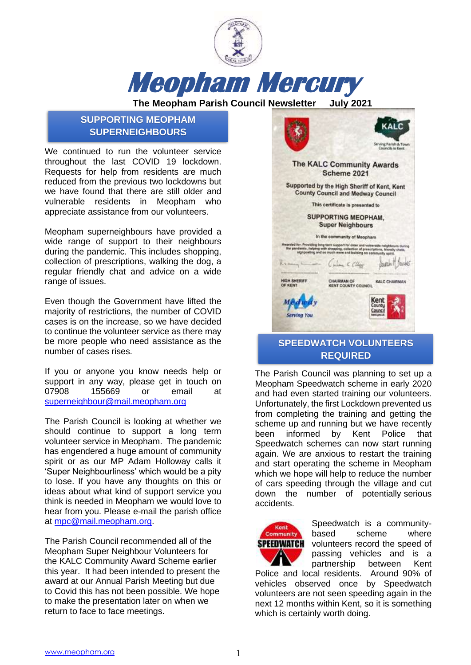

**The Meopham Parish Council Newsletter July 2021**

# **SUPPORTING MEOPHAM SUPERNEIGHBOURS**

We continued to run the volunteer service throughout the last COVID 19 lockdown. Requests for help from residents are much reduced from the previous two lockdowns but we have found that there are still older and vulnerable residents in Meopham who appreciate assistance from our volunteers.

Meopham superneighbours have provided a wide range of support to their neighbours during the pandemic. This includes shopping, collection of prescriptions, walking the dog, a regular friendly chat and advice on a wide range of issues.

Even though the Government have lifted the majority of restrictions, the number of COVID cases is on the increase, so we have decided to continue the volunteer service as there may be more people who need assistance as the number of cases rises.

If you or anyone you know needs help or support in any way, please get in touch on 07908 155669 or email at [superneighbour@mail.meopham.org](mailto:superneighbour@mail.meopham.org)

The Parish Council is looking at whether we should continue to support a long term volunteer service in Meopham. The pandemic has engendered a huge amount of community spirit or as our MP Adam Holloway calls it 'Super Neighbourliness' which would be a pity to lose. If you have any thoughts on this or ideas about what kind of support service you think is needed in Meopham we would love to hear from you. Please e-mail the parish office at [mpc@mail.meopham.org.](mailto:mpc@mail.meopham.org)

The Parish Council recommended all of the Meopham Super Neighbour Volunteers for the KALC Community Award Scheme earlier this year. It had been intended to present the award at our Annual Parish Meeting but due to Covid this has not been possible. We hope to make the presentation later on when we return to face to face meetings.



# **SPEEDWATCH VOLUNTEERS REQUIRED**

The Parish Council was planning to set up a Meopham Speedwatch scheme in early 2020 and had even started training our volunteers. Unfortunately, the first Lockdown prevented us from completing the training and getting the scheme up and running but we have recently been informed by Kent Police that Speedwatch schemes can now start running again. We are anxious to restart the training and start operating the scheme in Meopham which we hope will help to reduce the number of cars speeding through the village and cut down the number of potentially serious accidents.



Speedwatch is a communitybased scheme where volunteers record the speed of passing vehicles and is a partnership between Kent

Police and local residents. Around 90% of vehicles observed once by Speedwatch volunteers are not seen speeding again in the next 12 months within Kent, so it is something which is certainly worth doing.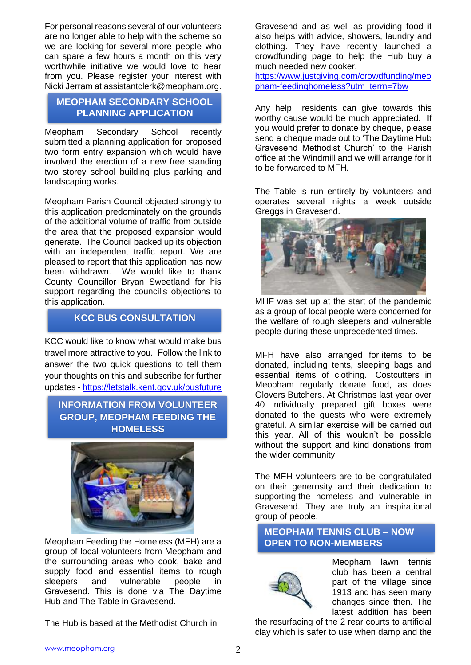For personal reasons several of our volunteers are no longer able to help with the scheme so we are looking for several more people who can spare a few hours a month on this very worthwhile initiative we would love to hear from you. Please register your interest with Nicki Jerram at assistantclerk@meopham.org.

## **MEOPHAM SECONDARY SCHOOL PLANNING APPLICATION**

Meopham Secondary School recently submitted a planning application for proposed two form entry expansion which would have involved the erection of a new free standing two storey school building plus parking and landscaping works.

Meopham Parish Council objected strongly to this application predominately on the grounds of the additional volume of traffic from outside the area that the proposed expansion would generate. The Council backed up its objection with an independent traffic report. We are pleased to report that this application has now been withdrawn. We would like to thank County Councillor Bryan Sweetland for his support regarding the council's objections to this application.

# **KCC BUS CONSULTATION**

KCC would like to know what would make bus travel more attractive to you. Follow the link to answer the two quick questions to tell them your thoughts on this and subscribe for further updates - <https://letstalk.kent.gov.uk/busfuture>

# **INFORMATION FROM VOLUNTEER GROUP, MEOPHAM FEEDING THE HOMELESS**



Meopham Feeding the Homeless (MFH) are a group of local volunteers from Meopham and the surrounding areas who cook, bake and supply food and essential items to rough sleepers and vulnerable people in Gravesend. This is done via The Daytime Hub and The Table in Gravesend.

The Hub is based at the Methodist Church in

Gravesend and as well as providing food it also helps with advice, showers, laundry and clothing. They have recently launched a crowdfunding page to help the Hub buy a much needed new cooker.

[https://www.justgiving.com/crowdfunding/meo](https://www.justgiving.com/crowdfunding/meopham-feedinghomeless?utm_term=7bw) [pham-feedinghomeless?utm\\_term=7bw](https://www.justgiving.com/crowdfunding/meopham-feedinghomeless?utm_term=7bw)

Any help residents can give towards this worthy cause would be much appreciated. If you would prefer to donate by cheque, please send a cheque made out to 'The Daytime Hub Gravesend Methodist Church' to the Parish office at the Windmill and we will arrange for it to be forwarded to MFH.

The Table is run entirely by volunteers and operates several nights a week outside Greggs in Gravesend.



MHF was set up at the start of the pandemic as a group of local people were concerned for the welfare of rough sleepers and vulnerable people during these unprecedented times.

MFH have also arranged for items to be donated, including tents, sleeping bags and essential items of clothing. Costcutters in Meopham regularly donate food, as does Glovers Butchers. At Christmas last year over 40 individually prepared gift boxes were donated to the guests who were extremely grateful. A similar exercise will be carried out this year. All of this wouldn't be possible without the support and kind donations from the wider community.

The MFH volunteers are to be congratulated on their generosity and their dedication to supporting the homeless and vulnerable in Gravesend. They are truly an inspirational group of people.

## **MEOPHAM TENNIS CLUB – NOW OPEN TO NON-MEMBERS**



Meopham lawn tennis club has been a central part of the village since 1913 and has seen many changes since then. The latest addition has been

the resurfacing of the 2 rear courts to artificial clay which is safer to use when damp and the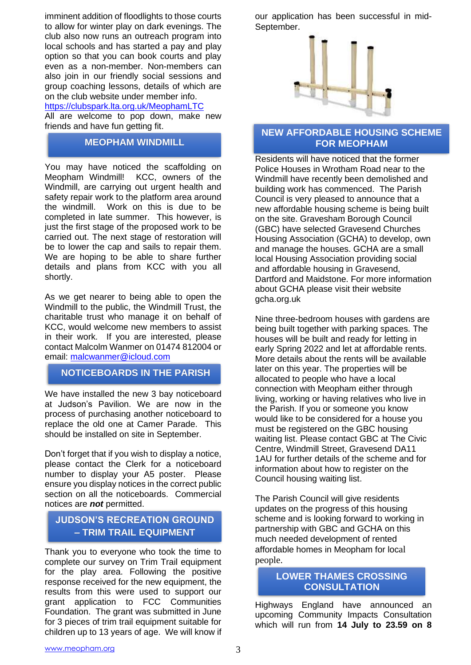imminent addition of floodlights to those courts to allow for winter play on dark evenings. The club also now runs an outreach program into local schools and has started a pay and play option so that you can book courts and play even as a non-member. Non-members can also join in our friendly social sessions and group coaching lessons, details of which are on the club website under member info.

#### <https://clubspark.lta.org.uk/MeophamLTC>

All are welcome to pop down, make new friends and have fun getting fit.

### **MEOPHAM WINDMILL**

You may have noticed the scaffolding on Meopham Windmill! KCC, owners of the Windmill, are carrying out urgent health and safety repair work to the platform area around the windmill. Work on this is due to be completed in late summer. This however, is just the first stage of the proposed work to be carried out. The next stage of restoration will be to lower the cap and sails to repair them. We are hoping to be able to share further details and plans from KCC with you all shortly.

As we get nearer to being able to open the Windmill to the public, the Windmill Trust, the charitable trust who manage it on behalf of KCC, would welcome new members to assist in their work. If you are interested, please contact Malcolm Wanmer on 01474 812004 or email: [malcwanmer@icloud.com](mailto:malcolmwanmer@icloud.com)

## **NOTICEBOARDS IN THE PARISH**

We have installed the new 3 bay noticeboard at Judson's Pavilion. We are now in the process of purchasing another noticeboard to replace the old one at Camer Parade. This should be installed on site in September.

Don't forget that if you wish to display a notice, please contact the Clerk for a noticeboard number to display your A5 poster. Please ensure you display notices in the correct public section on all the noticeboards. Commercial notices are *not* permitted.

# **JUDSON'S RECREATION GROUND – TRIM TRAIL EQUIPMENT**

Thank you to everyone who took the time to complete our survey on Trim Trail equipment for the play area. Following the positive response received for the new equipment, the results from this were used to support our grant application to FCC Communities Foundation. The grant was submitted in June for 3 pieces of trim trail equipment suitable for children up to 13 years of age. We will know if our application has been successful in mid-September.



## **NEW AFFORDABLE HOUSING SCHEME FOR MEOPHAM**

Residents will have noticed that the former Police Houses in Wrotham Road near to the Windmill have recently been demolished and building work has commenced. The Parish Council is very pleased to announce that a new affordable housing scheme is being built on the site. Gravesham Borough Council (GBC) have selected Gravesend Churches Housing Association (GCHA) to develop, own and manage the houses. GCHA are a small local Housing Association providing social and affordable housing in Gravesend, Dartford and Maidstone. For more information about GCHA please visit their website gcha.org.uk

Nine three-bedroom houses with gardens are being built together with parking spaces. The houses will be built and ready for letting in early Spring 2022 and let at affordable rents. More details about the rents will be available later on this year. The properties will be allocated to people who have a local connection with Meopham either through living, working or having relatives who live in the Parish. If you or someone you know would like to be considered for a house you must be registered on the GBC housing waiting list. Please contact GBC at The Civic Centre, Windmill Street, Gravesend DA11 1AU for further details of the scheme and for information about how to register on the Council housing waiting list.

The Parish Council will give residents updates on the progress of this housing scheme and is looking forward to working in partnership with GBC and GCHA on this much needed development of rented affordable homes in Meopham for local people.

#### **LOWER THAMES CROSSING CONSULTATION**

Highways England have announced an upcoming Community Impacts Consultation which will run from **14 July to 23.59 on 8**